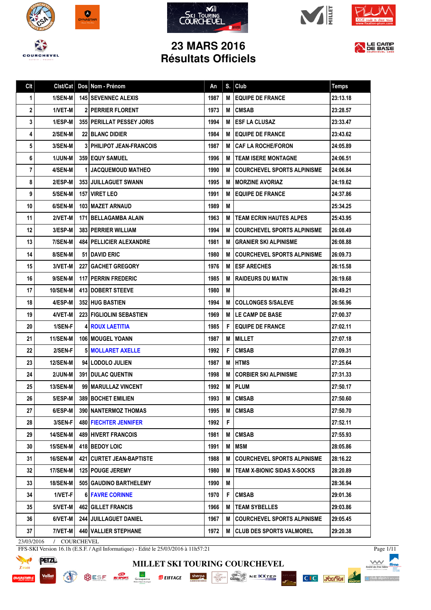









LE CAMP

## **23 MARS 2016 Résultats Officiels**

| 1<br>2<br>3<br>4<br>5<br>6<br>7 | 1/SEN-M<br>1/VET-M<br>1/ESP-M | <b>145 SEVENNEC ALEXIS</b>       | 1987 |   |                                    |          |
|---------------------------------|-------------------------------|----------------------------------|------|---|------------------------------------|----------|
|                                 |                               |                                  |      | М | <b>EQUIPE DE FRANCE</b>            | 23:13.18 |
|                                 |                               | <b>2 PERRIER FLORENT</b>         | 1973 | М | <b>CMSAB</b>                       | 23:28.57 |
|                                 |                               | <b>355 PERILLAT PESSEY JORIS</b> | 1994 | М | <b>ESF LA CLUSAZ</b>               | 23:33.47 |
|                                 | 2/SEN-M                       | <b>22 BLANC DIDIER</b>           | 1984 | M | <b>EQUIPE DE FRANCE</b>            | 23:43.62 |
|                                 | 3/SEN-M                       | <b>3 PHILIPOT JEAN-FRANCOIS</b>  | 1987 | M | <b>CAF LA ROCHE/FORON</b>          | 24:05.89 |
|                                 | <b>1/JUN-M</b>                | <b>359 EQUY SAMUEL</b>           | 1996 | M | <b>TEAM ISERE MONTAGNE</b>         | 24:06.51 |
|                                 | 4/SEN-M                       | <b>1 JACQUEMOUD MATHEO</b>       | 1990 | М | <b>COURCHEVEL SPORTS ALPINISME</b> | 24:06.84 |
| 8                               | 2/ESP-M                       | 353 JUILLAGUET SWANN             | 1995 | M | <b>MORZINE AVORIAZ</b>             | 24:19.62 |
| 9                               | 5/SEN-M                       | <b>157 VIRET LEO</b>             | 1991 | M | <b>EQUIPE DE FRANCE</b>            | 24:37.86 |
| 10                              | 6/SEN-M                       | 103   MAZET ARNAUD               | 1989 | M |                                    | 25:34.25 |
| 11                              | 2/VET-M                       | 171 BELLAGAMBA ALAIN             | 1963 | М | <b>TEAM ECRIN HAUTES ALPES</b>     | 25:43.95 |
| 12                              | 3/ESP-M                       | <b>383 PERRIER WILLIAM</b>       | 1994 | M | <b>COURCHEVEL SPORTS ALPINISME</b> | 26:08.49 |
| 13                              | 7/SEN-M                       | <b>484   PELLICIER ALEXANDRE</b> | 1981 | M | <b>GRANIER SKI ALPINISME</b>       | 26:08.88 |
| 14                              | 8/SEN-M                       | <b>51 I DAVID ERIC</b>           | 1980 | M | <b>COURCHEVEL SPORTS ALPINISME</b> | 26:09.73 |
| 15                              | 3/VET-M                       | <b>227 GACHET GREGORY</b>        | 1976 | M | <b>ESF ARECHES</b>                 | 26:15.58 |
| 16                              | 9/SEN-M                       | <b>117 PERRIN FREDERIC</b>       | 1985 | M | <b>RAIDEURS DU MATIN</b>           | 26:19.68 |
| 17                              | <b>10/SEN-M</b>               | <b>413 DOBERT STEEVE</b>         | 1980 | M |                                    | 26:49.21 |
| 18                              | 4/ESP-M                       | <b>352 HUG BASTIEN</b>           | 1994 | M | <b>COLLONGES S/SALEVE</b>          | 26:56.96 |
| 19                              | 4/VET-M                       | <b>223 FIGLIOLINI SEBASTIEN</b>  | 1969 | M | LE CAMP DE BASE                    | 27:00.37 |
| 20                              | 1/SEN-F                       | <b>4 ROUX LAETITIA</b>           | 1985 | F | <b>EQUIPE DE FRANCE</b>            | 27:02.11 |
| 21                              | 11/SEN-M                      | 106   MOUGEL YOANN               | 1987 | М | <b>MILLET</b>                      | 27:07.18 |
| 22                              | 2/SEN-F                       | <b>5 MOLLARET AXELLE</b>         | 1992 | F | <b>CMSAB</b>                       | 27:09.31 |
| 23                              | <b>12/SEN-M</b>               | 94   LODOLO JULIEN               | 1987 | М | <b>HTMS</b>                        | 27:25.64 |
| 24                              | 2/JUN-M                       | 391 DULAC QUENTIN                | 1998 | M | <b>CORBIER SKI ALPINISME</b>       | 27:31.33 |
| 25                              | <b>13/SEN-M</b>               | 99   MARULLAZ VINCENT            | 1992 | M | <b>PLUM</b>                        | 27:50.17 |
| 26                              | 5/ESP-M                       | 389 BOCHET EMILIEN               | 1993 | M | <b>CMSAB</b>                       | 27:50.60 |
| 27                              | 6/ESP-M                       | 390   NANTERMOZ THOMAS           | 1995 | M | <b>CMSAB</b>                       | 27:50.70 |
| 28                              | 3/SEN-F                       | 480 FIECHTER JENNIFER            | 1992 | F |                                    | 27:52.11 |
| 29                              | <b>14/SEN-M</b>               | 489 HIVERT FRANCOIS              | 1981 | M | <b>CMSAB</b>                       | 27:55.93 |
| 30                              | <b>15/SEN-M</b>               | 418 BEDOY LOIC                   | 1991 | M | <b>MSM</b>                         | 28:05.86 |
| 31                              | 16/SEN-M                      | 421   CURTET JEAN-BAPTISTE       | 1988 | M | <b>COURCHEVEL SPORTS ALPINISME</b> | 28:16.22 |
| 32                              | 17/SEN-M                      | <b>125   POUGE JEREMY</b>        | 1980 | M | <b>TEAM X-BIONIC SIDAS X-SOCKS</b> | 28:20.89 |
| 33                              | 18/SEN-M                      | 505 GAUDINO BARTHELEMY           | 1990 | M |                                    | 28:36.94 |
| 34                              | 1/VET-F                       | <b>6 FAVRE CORINNE</b>           | 1970 | F | <b>CMSAB</b>                       | 29:01.36 |
| 35                              | 5/VET-M                       | <b>462 GILLET FRANCIS</b>        | 1966 | M | <b>TEAM SYBELLES</b>               | 29:03.86 |
| 36                              | 6/VET-M                       | 244 JUILLAGUET DANIEL            | 1967 | M | <b>COURCHEVEL SPORTS ALPINISME</b> | 29:05.45 |
| 37                              | 7/VET-M                       | 440 VALLIER STEPHANE             | 1972 | М | <b>CLUB DES SPORTS VALMOREL</b>    | 29:20.38 |

**MILLET SKI TOURING COURCHEVEL**

**PISTE NOIS** 

**OUR SESE ALL SECURITY SECURITY OF SALE AND DESCRIPTION OF A REAL PROPERTY OF A REAL PROPERTY OF A REAL PROPERTY** 

23/03/2016 / COURCHEVEL

FFS-SKI Version 16.1h (E.S.F. / Agil Informatique) - Edité le 25/03/2016 à 11h57:21



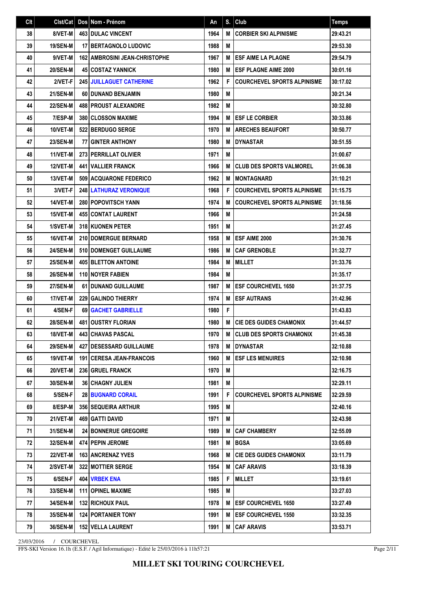| Clt | Clst/Cat        |    | Dos Nom - Prénom                       | An   | S. | Club                               | <b>Temps</b> |
|-----|-----------------|----|----------------------------------------|------|----|------------------------------------|--------------|
| 38  | 8/VET-M         |    | <b>463 DULAC VINCENT</b>               | 1964 | M  | <b>CORBIER SKI ALPINISME</b>       | 29:43.21     |
| 39  | 19/SEN-M        |    | <b>17 BERTAGNOLO LUDOVIC</b>           | 1988 | M  |                                    | 29:53.30     |
| 40  | 9/VET-M         |    | <b>162   AMBROSINI JEAN-CHRISTOPHE</b> | 1967 | M  | <b>ESF AIME LA PLAGNE</b>          | 29:54.79     |
| 41  | <b>20/SEN-M</b> |    | <b>45 COSTAZ YANNICK</b>               | 1980 | M  | <b>ESF PLAGNE AIME 2000</b>        | 30:01.16     |
| 42  | 2/VET-F         |    | <b>245 JUILLAGUET CATHERINE</b>        | 1962 | F  | <b>COURCHEVEL SPORTS ALPINISME</b> | 30:17.02     |
| 43  | <b>21/SEN-M</b> |    | 60 DUNAND BENJAMIN                     | 1980 | M  |                                    | 30:21.34     |
| 44  | <b>22/SEN-M</b> |    | <b>488 PROUST ALEXANDRE</b>            | 1982 | M  |                                    | 30:32.80     |
| 45  | 7/ESP-M         |    | <b>380 CLOSSON MAXIME</b>              | 1994 | M  | <b>I ESF LE CORBIER</b>            | 30:33.86     |
| 46  | 10/VET-M        |    | 522 BERDUGO SERGE                      | 1970 | M  | <b>I ARECHES BEAUFORT</b>          | 30:50.77     |
| 47  | <b>23/SEN-M</b> | 77 | <b>GINTER ANTHONY</b>                  | 1980 | M  | <b>DYNASTAR</b>                    | 30:51.55     |
| 48  | 11/VET-M        |    | 273 PERRILLAT OLIVIER                  | 1971 | M  |                                    | 31:00.67     |
| 49  | 12/VET-M        |    | <b>441 VALLIER FRANCK</b>              | 1966 | M  | <b>CLUB DES SPORTS VALMOREL</b>    | 31:06.38     |
| 50  | 13/VET-M        |    | 509 ACQUARONE FEDERICO                 | 1962 | M  | <b>I MONTAGNARD</b>                | 31:10.21     |
| 51  | 3/VET-F         |    | <b>248 LATHURAZ VERONIQUE</b>          | 1968 | F  | <b>COURCHEVEL SPORTS ALPINISME</b> | 31:15.75     |
| 52  | 14/VET-M        |    | <b>280   POPOVITSCH YANN</b>           | 1974 | M  | <b>COURCHEVEL SPORTS ALPINISME</b> | 31:18.56     |
| 53  | <b>15/VET-M</b> |    | <b>455 CONTAT LAURENT</b>              | 1966 | M  |                                    | 31:24.58     |
| 54  | 1/SVET-M        |    | 318 KUONEN PETER                       | 1951 | M  |                                    | 31:27.45     |
| 55  | 16/VET-M        |    | <b>210 I DOMERGUE BERNARD</b>          | 1958 | M  | <b>ESF AIME 2000</b>               | 31:30.76     |
| 56  | <b>24/SEN-M</b> |    | 510 DOMENGET GUILLAUME                 | 1986 | M  | <b>CAF GRENOBLE</b>                | 31:32.77     |
| 57  | <b>25/SEN-M</b> |    | <b>405 BLETTON ANTOINE</b>             | 1984 | M  | <b>MILLET</b>                      | 31:33.76     |
| 58  | <b>26/SEN-M</b> |    | <b>110 INOYER FABIEN</b>               | 1984 | M  |                                    | 31:35.17     |
| 59  | <b>27/SEN-M</b> |    | 61 DUNAND GUILLAUME                    | 1987 | M  | <b>ESF COURCHEVEL 1650</b>         | 31:37.75     |
| 60  | 17/VET-M        |    | 229 GALINDO THIERRY                    | 1974 | M  | <b>ESF AUTRANS</b>                 | 31:42.96     |
| 61  | 4/SEN-F         |    | 69 GACHET GABRIELLE                    | 1980 | F  |                                    | 31:43.83     |
| 62  | <b>28/SEN-M</b> |    | <b>481   OUSTRY FLORIAN</b>            | 1980 | M  | <b>CIE DES GUIDES CHAMONIX</b>     | 31:44.57     |
| 63  | 18/VET-M        |    | 443 CHAVAS PASCAL                      | 1970 | M  | <b>CLUB DES SPORTS CHAMONIX</b>    | 31:45.38     |
| 64  | 29/SEN-M        |    | 427   DESESSARD GUILLAUME              | 1978 |    | <b>M DYNASTAR</b>                  | 32:10.88     |
| 65  | 19/VET-M        |    | <b>191   CERESA JEAN-FRANCOIS</b>      | 1960 | M  | <b>IESF LES MENUIRES</b>           | 32:10.98     |
| 66  | <b>20/VET-M</b> |    | 236 GRUEL FRANCK                       | 1970 | M  |                                    | 32:16.75     |
| 67  | <b>30/SEN-M</b> |    | <b>36   CHAGNY JULIEN</b>              | 1981 | М  |                                    | 32:29.11     |
| 68  | 5/SEN-F         |    | <b>28 BUGNARD CORAIL</b>               | 1991 | F  | <b>COURCHEVEL SPORTS ALPINISME</b> | 32:29.59     |
| 69  | 8/ESP-M         |    | <b>356   SEQUEIRA ARTHUR</b>           | 1995 | M  |                                    | 32:40.16     |
| 70  | <b>21/VET-M</b> |    | 469   GATTI DAVID                      | 1971 | M  |                                    | 32:43.98     |
| 71  | 31/SEN-M        |    | 24 BONNERUE GREGOIRE                   | 1989 | M  | <b>I CAF CHAMBERY</b>              | 32:55.09     |
| 72  | 32/SEN-M        |    | 474 PEPIN JEROME                       | 1981 | M  | <b>IBGSA</b>                       | 33:05.69     |
| 73  | 22/VET-M        |    | 163 ANCRENAZ YVES                      | 1968 | M  | <b>CIE DES GUIDES CHAMONIX</b>     | 33:11.79     |
| 74  | 2/SVET-M        |    | <b>322 MOTTIER SERGE</b>               | 1954 | M  | <b>CAF ARAVIS</b>                  | 33:18.39     |
| 75  | 6/SEN-F         |    | 404 VRBEK ENA                          | 1985 | F  | <b>MILLET</b>                      | 33:19.61     |
| 76  | 33/SEN-M        |    | 111   OPINEL MAXIME                    | 1985 | M  |                                    | 33:27.03     |
| 77  | 34/SEN-M        |    | <b>132 RICHOUX PAUL</b>                | 1978 | M  | <b>ESF COURCHEVEL 1650</b>         | 33:27.49     |
| 78  | <b>35/SEN-M</b> |    | <b>124 PORTANIER TONY</b>              | 1991 | M  | <b>IESF COURCHEVEL 1550</b>        | 33:32.35     |
| 79  | 36/SEN-M        |    | 152 VELLA LAURENT                      | 1991 | M  | <b>CAF ARAVIS</b>                  | 33:53.71     |

FFS-SKI Version 16.1h (E.S.F. / Agil Informatique) - Edité le 25/03/2016 à 11h57:21

Page 2/11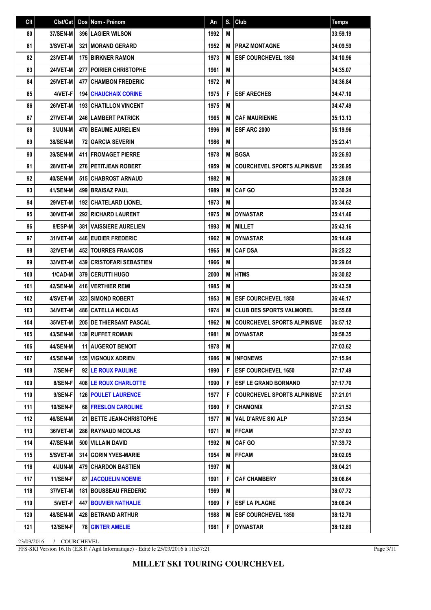| Clt | Clst/Cat        | Dos Nom - Prénom                  | An   | S. | Club                               | <b>Temps</b> |
|-----|-----------------|-----------------------------------|------|----|------------------------------------|--------------|
| 80  | <b>37/SEN-M</b> | <b>396 LAGIER WILSON</b>          | 1992 | M  |                                    | 33:59.19     |
| 81  | 3/SVET-M        | <b>321   MORAND GERARD</b>        | 1952 | M  | <b>PRAZ MONTAGNE</b>               | 34:09.59     |
| 82  | 23/VET-M        | <b>175 BIRKNER RAMON</b>          | 1973 | M  | <b>ESF COURCHEVEL 1850</b>         | 34:10.96     |
| 83  | 24/VET-M        | 277 POIRIER CHRISTOPHE            | 1961 | M  |                                    | 34:35.07     |
| 84  | 25/VET-M        | <b>477 CHAMBON FREDERIC</b>       | 1972 | M  |                                    | 34:36.84     |
| 85  | 4/VET-F         | <b>194   CHAUCHAIX CORINE</b>     | 1975 | F  | <b>ESF ARECHES</b>                 | 34:47.10     |
| 86  | 26/VET-M        | <b>193 CHATILLON VINCENT</b>      | 1975 | M  |                                    | 34:47.49     |
| 87  | <b>27/VET-M</b> | 246 LAMBERT PATRICK               | 1965 | M  | <b>CAF MAURIENNE</b>               | 35:13.13     |
| 88  | 3/JUN-M         | <b>470 BEAUME AURELIEN</b>        | 1996 | M  | <b>ESF ARC 2000</b>                | 35:19.96     |
| 89  | <b>38/SEN-M</b> | <b>72 GARCIA SEVERIN</b>          | 1986 | M  |                                    | 35:23.41     |
| 90  | <b>39/SEN-M</b> | <b>411 I FROMAGET PIERRE</b>      | 1978 | М  | <b>BGSA</b>                        | 35:26.93     |
| 91  | 28/VET-M        | 276 PETITJEAN ROBERT              | 1959 | M  | <b>COURCHEVEL SPORTS ALPINISME</b> | 35:26.95     |
| 92  | <b>40/SEN-M</b> | 515 CHABROST ARNAUD               | 1982 | M  |                                    | 35:28.08     |
| 93  | 41/SEN-M        | <b>499 BRAISAZ PAUL</b>           | 1989 | М  | <b>CAF GO</b>                      | 35:30.24     |
| 94  | <b>29/VET-M</b> | <b>192   CHATELARD LIONEL</b>     | 1973 | M  |                                    | 35:34.62     |
| 95  | 30/VET-M        | <b>292 RICHARD LAURENT</b>        | 1975 | M  | <b>DYNASTAR</b>                    | 35:41.46     |
| 96  | 9/ESP-M         | 381 VAISSIERE AURELIEN            | 1993 | M  | <b>MILLET</b>                      | 35:43.16     |
| 97  | 31/VET-M        | <b>446 EUDIER FREDERIC</b>        | 1962 | M  | <b>DYNASTAR</b>                    | 36:14.49     |
| 98  | 32/VET-M        | <b>452   TOURRES FRANCOIS</b>     | 1965 | M  | <b>CAF DSA</b>                     | 36:25.22     |
| 99  | 33/VET-M        | <b>439 CRISTOFARI SEBASTIEN</b>   | 1966 | M  |                                    | 36:29.04     |
| 100 | 1/CAD-M         | <b>379   CERUTTI HUGO</b>         | 2000 | M  | <b>HTMS</b>                        | 36:30.82     |
| 101 | 42/SEN-M        | <b>416 VERTHIER REMI</b>          | 1985 | M  |                                    | 36:43.58     |
| 102 | 4/SVET-M        | <b>323 I SIMOND ROBERT</b>        | 1953 | M  | <b>ESF COURCHEVEL 1850</b>         | 36:46.17     |
| 103 | 34/VET-M        | <b>486 CATELLA NICOLAS</b>        | 1974 | M  | <b>CLUB DES SPORTS VALMOREL</b>    | 36:55.68     |
| 104 | 35/VET-M        | <b>205 DE THIERSANT PASCAL</b>    | 1962 | M  | <b>COURCHEVEL SPORTS ALPINISME</b> | 36:57.12     |
| 105 | 43/SEN-M        | <b>139 RUFFET ROMAIN</b>          | 1981 | M  | <b>DYNASTAR</b>                    | 36:58.35     |
| 106 | 44/SEN-M        | <b>11 AUGEROT BENOIT</b>          | 1978 | M  |                                    | 37:03.62     |
| 107 | 45/SEN-M        | <b>155   VIGNOUX ADRIEN</b>       | 1986 | M  | <b>INFONEWS</b>                    | 37:15.94     |
| 108 | 7/SEN-F         | 92 LE ROUX PAULINE                | 1990 | F  | <b>ESF COURCHEVEL 1650</b>         | 37:17.49     |
| 109 | 8/SEN-F         | <b>408 LE ROUX CHARLOTTE</b>      | 1990 | F  | <b>ESF LE GRAND BORNAND</b>        | 37:17.70     |
| 110 | 9/SEN-F         | <b>126 POULET LAURENCE</b>        | 1977 | F  | <b>COURCHEVEL SPORTS ALPINISME</b> | 37:21.01     |
| 111 | <b>10/SEN-F</b> | 68 FRESLON CAROLINE               | 1980 | F  | <b>CHAMONIX</b>                    | 37:21.52     |
| 112 | 46/SEN-M        | <b>21   BETTE JEAN-CHRISTOPHE</b> | 1977 | M  | <b>VAL D'ARVE SKI ALP</b>          | 37:23.94     |
| 113 | 36/VET-M        | <b>286 RAYNAUD NICOLAS</b>        | 1971 | M  | <b> FFCAM</b>                      | 37:37.03     |
| 114 | 47/SEN-M        | 500   VILLAIN DAVID               | 1992 | M  | <b>CAF GO</b>                      | 37:39.72     |
| 115 | 5/SVET-M        | 314 GORIN YVES-MARIE              | 1954 | M  | <b>FFCAM</b>                       | 38:02.05     |
| 116 | 4/JUN-M         | <b>479   CHARDON BASTIEN</b>      | 1997 | М  |                                    | 38:04.21     |
| 117 | 11/SEN-F        | <b>87 JACQUELIN NOEMIE</b>        | 1991 | F  | <b>CAF CHAMBERY</b>                | 38:06.64     |
| 118 | 37/VET-M        | <b>181   BOUSSEAU FREDERIC</b>    | 1969 | Μ  |                                    | 38:07.72     |
| 119 | 5/VET-F         | <b>447 BOUVIER NATHALIE</b>       | 1969 | F  | <b>ESF LA PLAGNE</b>               | 38:08.24     |
| 120 | 48/SEN-M        | 428   BETRAND ARTHUR              | 1988 | M  | <b>ESF COURCHEVEL 1850</b>         | 38:12.70     |
| 121 | <b>12/SEN-F</b> | <b>78 GINTER AMELIE</b>           | 1981 | F  | <b>DYNASTAR</b>                    | 38:12.89     |

FFS-SKI Version 16.1h (E.S.F. / Agil Informatique) - Edité le 25/03/2016 à 11h57:21

Page 3/11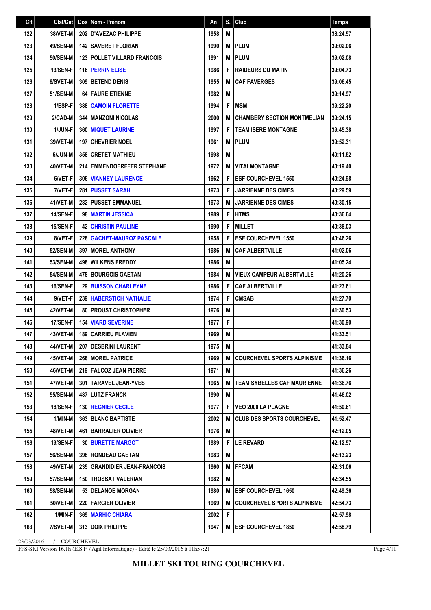| Clt |                 | Cist/Cat   Dos   Nom - Prénom         | An   | S. | Club                               | <b>Temps</b> |
|-----|-----------------|---------------------------------------|------|----|------------------------------------|--------------|
| 122 | 38/VET-M        | 202 D'AVEZAC PHILIPPE                 | 1958 | M  |                                    | 38:24.57     |
| 123 | 49/SEN-M        | <b>142 SAVERET FLORIAN</b>            | 1990 | M  | <b>PLUM</b>                        | 39:02.06     |
| 124 | 50/SEN-M        | <b>123 POLLET VILLARD FRANCOIS</b>    | 1991 | M  | <b>PLUM</b>                        | 39:02.08     |
| 125 | 13/SEN-F        | 116 PERRIN ELISE                      | 1986 | F  | <b>RAIDEURS DU MATIN</b>           | 39:04.73     |
| 126 | 6/SVET-M        | 309 BETEND DENIS                      | 1955 | M  | <b>CAF FAVERGES</b>                | 39:06.45     |
| 127 | <b>51/SEN-M</b> | <b>64 FAURE ETIENNE</b>               | 1982 | M  |                                    | 39:14.97     |
| 128 | 1/ESP-F         | <b>388 CAMOIN FLORETTE</b>            | 1994 | F  | <b>MSM</b>                         | 39:22.20     |
| 129 | 2/CAD-M         | <b>344   MANZONI NICOLAS</b>          | 2000 | М  | <b>CHAMBERY SECTION MONTMELIAN</b> | 39:24.15     |
| 130 | 1/JUN-F         | 360 MIQUET LAURINE                    | 1997 | F  | <b>TEAM ISERE MONTAGNE</b>         | 39:45.38     |
| 131 | 39/VET-M        | <b>197 CHEVRIER NOEL</b>              | 1961 | M  | <b>IPLUM</b>                       | 39:52.31     |
| 132 | 5/JUN-M         | <b>358 CRETET MATHIEU</b>             | 1998 | M  |                                    | 40:11.52     |
| 133 | 40/VET-M        | <b>214 EMMENDOERFFER STEPHANE</b>     | 1972 | M  | <b>VITALMONTAGNE</b>               | 40:19.40     |
| 134 | 6/VET-F         | <b>306 VIANNEY LAURENCE</b>           | 1962 | F  | <b>IESF COURCHEVEL 1550</b>        | 40:24.98     |
| 135 | 7/VET-F         | <b>281 PUSSET SARAH</b>               | 1973 | F  | <b>JARRIENNE DES CIMES</b>         | 40:29.59     |
| 136 | 41/VET-M        | <b>282 PUSSET EMMANUEL</b>            | 1973 | M  | <b>JARRIENNE DES CIMES</b>         | 40:30.15     |
| 137 | <b>14/SEN-F</b> | 98 MARTIN JESSICA                     | 1989 | F  | <b>HTMS</b>                        | 40:36.64     |
| 138 | 15/SEN-F        | <b>42 CHRISTIN PAULINE</b>            | 1990 | F  | <b>MILLET</b>                      | 40:38.03     |
| 139 | 8/VET-F         | 228   GACHET-MAUROZ PASCALE           | 1958 | F  | <b>ESF COURCHEVEL 1550</b>         | 40:46.26     |
| 140 | 52/SEN-M        | <b>397 I MOREL ANTHONY</b>            | 1986 | M  | <b>CAF ALBERTVILLE</b>             | 41:02.06     |
| 141 | 53/SEN-M        | <b>498 WILKENS FREDDY</b>             | 1986 | M  |                                    | 41:05.24     |
| 142 | <b>54/SEN-M</b> | <b>478 BOURGOIS GAETAN</b>            | 1984 | м  | <b>VIEUX CAMPEUR ALBERTVILLE</b>   | 41:20.26     |
| 143 | 16/SEN-F        | <b>29 BUISSON CHARLEYNE</b>           | 1986 | F  | <b>CAF ALBERTVILLE</b>             | 41:23.61     |
| 144 | 9/VET-F         | <b>239 HABERSTICH NATHALIE</b>        | 1974 | F  | <b>CMSAB</b>                       | 41:27.70     |
| 145 | 42/VET-M        | <b>80   PROUST CHRISTOPHER</b>        | 1976 | M  |                                    | 41:30.53     |
| 146 | 17/SEN-F        | <b>154 VIARD SEVERINE</b>             | 1977 | F  |                                    | 41:30.90     |
| 147 | 43/VET-M        | <b>189 CARRIEU FLAVIEN</b>            | 1969 | M  |                                    | 41:33.51     |
| 148 | 44/VET-M        | 207 DESBRINI LAURENT                  | 1975 | M  |                                    | 41:33.84     |
| 149 | 45/VET-M        | 268   MOREL PATRICE                   | 1969 | м  | <b>COURCHEVEL SPORTS ALPINISME</b> | 41:36.16     |
| 150 | 46/VET-M        | 219 FALCOZ JEAN PIERRE                | 1971 | M  |                                    | 41:36.26     |
| 151 | 47/VET-M        | 301   TARAVEL JEAN-YVES               | 1965 | M  | <b>TEAM SYBELLES CAF MAURIENNE</b> | 41:36.76     |
| 152 | <b>55/SEN-M</b> | 487 LUTZ FRANCK                       | 1990 | M  |                                    | 41:46.02     |
| 153 | 18/SEN-F        | <b>130 REGNIER CECILE</b>             | 1977 | F  | VEO 2000 LA PLAGNE                 | 41:50.61     |
| 154 | 1/MIN-M         | <b>363 BLANC BAPTISTE</b>             | 2002 | M  | <b>CLUB DES SPORTS COURCHEVEL</b>  | 41:52.47     |
| 155 | 48/VET-M        | 461   BARRALIER OLIVIER               | 1976 | M  |                                    | 42:12.05     |
| 156 | 19/SEN-F        | <b>30 BURETTE MARGOT</b>              | 1989 | F  | <b>LE REVARD</b>                   | 42:12.57     |
| 157 | <b>56/SEN-M</b> | <b>398 RONDEAU GAETAN</b>             | 1983 | M  |                                    | 42:13.23     |
| 158 | 49/VET-M        | <b>235   GRANDIDIER JEAN-FRANCOIS</b> | 1960 | M  | <b>IFFCAM</b>                      | 42:31.06     |
| 159 | <b>57/SEN-M</b> | <b>150   TROSSAT VALERIAN</b>         | 1982 | М  |                                    | 42:34.55     |
| 160 | <b>58/SEN-M</b> | 53   DELANOE MORGAN                   | 1980 |    | M <b>IESF COURCHEVEL 1650</b>      | 42:49.36     |
| 161 | 50/VET-M        | <b>220 FARGIER OLIVIER</b>            | 1969 | М  | <b>COURCHEVEL SPORTS ALPINISME</b> | 42:54.73     |
| 162 | 1/MIN-F         | <b>369   MARHIC CHIARA</b>            | 2002 | F  |                                    | 42:57.98     |
| 163 | 7/SVET-M        | 313 DOIX PHILIPPE                     | 1947 |    | M <b>JESF COURCHEVEL 1850</b>      | 42:58.79     |

FFS-SKI Version 16.1h (E.S.F. / Agil Informatique) - Edité le 25/03/2016 à 11h57:21

Page 4/11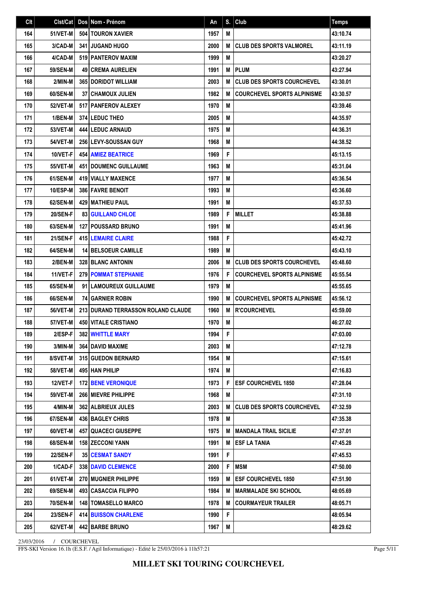| C <sub>It</sub> | Clst/Cat        | Dos Nom - Prénom                          | An   |   | $S.$ Club                          | <b>Temps</b> |
|-----------------|-----------------|-------------------------------------------|------|---|------------------------------------|--------------|
| 164             | 51/VET-M        | 504   TOURON XAVIER                       | 1957 | M |                                    | 43:10.74     |
| 165             | 3/CAD-M         | <b>341 JUGAND HUGO</b>                    | 2000 | M | <b>CLUB DES SPORTS VALMOREL</b>    | 43:11.19     |
| 166             | 4/CAD-M         | 519 PANTEROV MAXIM                        | 1999 | M |                                    | 43:20.27     |
| 167             | <b>59/SEN-M</b> | <b>49 CREMA AURELIEN</b>                  | 1991 | M | <b>PLUM</b>                        | 43:27.94     |
| 168             | 2/MIN-M         | <b>365 DORIDOT WILLIAM</b>                | 2003 | M | <b>CLUB DES SPORTS COURCHEVEL</b>  | 43:30.01     |
| 169             | 60/SEN-M        | <b>37 CHAMOUX JULIEN</b>                  | 1982 | M | <b>COURCHEVEL SPORTS ALPINISME</b> | 43:30.57     |
| 170             | <b>52/VET-M</b> | 517   PANFEROV ALEXEY                     | 1970 | M |                                    | 43:39.46     |
| 171             | 1/BEN-M         | <b>374 LEDUC THEO</b>                     | 2005 | M |                                    | 44:35.97     |
| 172             | <b>53/VET-M</b> | <b>444 LEDUC ARNAUD</b>                   | 1975 | M |                                    | 44:36.31     |
| 173             | <b>54/VET-M</b> | <b>256 LEVY-SOUSSAN GUY</b>               | 1968 | M |                                    | 44:38.52     |
| 174             | 10/VET-F        | <b>454   AMIEZ BEATRICE</b>               | 1969 | F |                                    | 45:13.15     |
| 175             | <b>55/VET-M</b> | <b>451 DOUMENC GUILLAUME</b>              | 1963 | M |                                    | 45:31.04     |
| 176             | 61/SEN-M        | <b>419 VIALLY MAXENCE</b>                 | 1977 | M |                                    | 45:36.54     |
| 177             | <b>10/ESP-M</b> | <b>386 FAVRE BENOIT</b>                   | 1993 | M |                                    | 45:36.60     |
| 178             | 62/SEN-M        | <b>429   MATHIEU PAUL</b>                 | 1991 | M |                                    | 45:37.53     |
| 179             | 20/SEN-F        | <b>83 GUILLAND CHLOE</b>                  | 1989 | F | <b>MILLET</b>                      | 45:38.88     |
| 180             | 63/SEN-M        | 127 POUSSARD BRUNO                        | 1991 | M |                                    | 45:41.96     |
| 181             | 21/SEN-F        | <b>415 LEMAIRE CLAIRE</b>                 | 1988 | F |                                    | 45:42.72     |
| 182             | 64/SEN-M        | <b>14 BELSOEUR CAMILLE</b>                | 1989 | M |                                    | 45:43.10     |
| 183             | 2/BEN-M         | <b>328 BLANC ANTONIN</b>                  | 2006 | M | <b>CLUB DES SPORTS COURCHEVEL</b>  | 45:48.60     |
| 184             | 11/VET-F        | <b>279 POMMAT STEPHANIE</b>               | 1976 | F | <b>COURCHEVEL SPORTS ALPINISME</b> | 45:55.54     |
| 185             | 65/SEN-M        | 91 LAMOUREUX GUILLAUME                    | 1979 | M |                                    | 45:55.65     |
| 186             | 66/SEN-M        | <b>74 GARNIER ROBIN</b>                   | 1990 | M | <b>COURCHEVEL SPORTS ALPINISME</b> | 45:56.12     |
| 187             | 56/VET-M        | <b>213 DURAND TERRASSON ROLAND CLAUDE</b> | 1960 | M | <b>R'COURCHEVEL</b>                | 45:59.00     |
| 188             | <b>57/VET-M</b> | <b>450 VITALE CRISTIANO</b>               | 1970 | M |                                    | 46:27.02     |
| 189             | 2/ESP-F         | 382 WHITTLE MARY                          | 1994 | F |                                    | 47:03.00     |
| 190             | 3/MIN-M         | 364 DAVID MAXIME                          | 2003 | M |                                    | 47:12.78     |
| 191             | 8/SVET-M        | <b>315 GUEDON BERNARD</b>                 | 1954 | М |                                    | 47:15.61     |
| 192             | 58/VET-M        | 495 HAN PHILIP                            | 1974 | M |                                    | 47:16.83     |
| 193             | 12/VET-F        | <b>172 BENE VERONIQUE</b>                 | 1973 | F | <b>ESF COURCHEVEL 1850</b>         | 47:28.04     |
| 194             | 59/VET-M        | 266 MIEVRE PHILIPPE                       | 1968 | M |                                    | 47:31.10     |
| 195             | 4/MIN-M         | <b>362   ALBRIEUX JULES</b>               | 2003 | M | <b>CLUB DES SPORTS COURCHEVEL</b>  | 47:32.59     |
| 196             | 67/SEN-M        | 436   BAGLEY CHRIS                        | 1978 | М |                                    | 47:35.38     |
| 197             | 60/VET-M        | <b>457 QUACECI GIUSEPPE</b>               | 1975 | M | MANDALA TRAIL SICILIE              | 47:37.01     |
| 198             | 68/SEN-M        | 158 ZECCONI YANN                          | 1991 | M | <b>ESF LA TANIA</b>                | 47:45.28     |
| 199             | 22/SEN-F        | 35   CESMAT SANDY                         | 1991 | F |                                    | 47:45.53     |
| 200             | 1/CAD-F         | <b>338   DAVID CLEMENCE</b>               | 2000 | F | MSM                                | 47:50.00     |
| 201             | 61/VET-M        | <b>270   MUGNIER PHILIPPE</b>             | 1959 | М | <b>ESF COURCHEVEL 1850</b>         | 47:51.90     |
| 202             | 69/SEN-M        | 493   CASACCIA FILIPPO                    | 1984 | M | <b>MARMALADE SKI SCHOOL</b>        | 48:05.69     |
| 203             | <b>70/SEN-M</b> | <b>148   TOMASELLO MARCO</b>              | 1978 | M | <b>COURMAYEUR TRAILER</b>          | 48:05.71     |
| 204             | 23/SEN-F        | <b>414 BUISSON CHARLENE</b>               | 1990 | F |                                    | 48:05.94     |
| 205             | 62/VET-M        | 442 BARBE BRUNO                           | 1967 | M |                                    | 48:29.62     |

FFS-SKI Version 16.1h (E.S.F. / Agil Informatique) - Edité le 25/03/2016 à 11h57:21

Page 5/11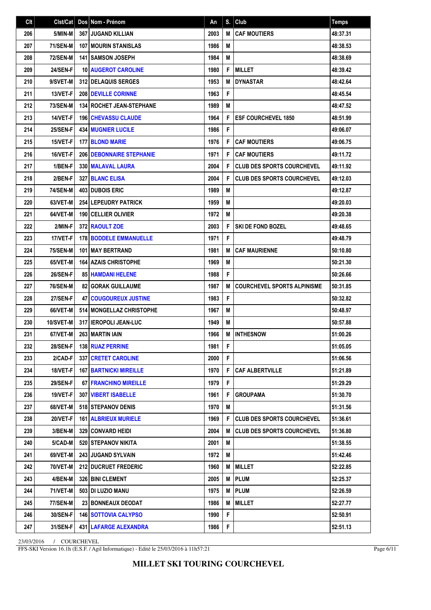| Clt | Clst/Cat        | Dos   Nom - Prénom                | An   | S.          | Club                                | <b>Temps</b> |
|-----|-----------------|-----------------------------------|------|-------------|-------------------------------------|--------------|
| 206 | 5/MIN-M         | <b>367 JUGAND KILLIAN</b>         | 2003 | M           | <b>CAF MOUTIERS</b>                 | 48:37.31     |
| 207 | <b>71/SEN-M</b> | <b>107 IMOURIN STANISLAS</b>      | 1986 | M           |                                     | 48:38.53     |
| 208 | <b>72/SEN-M</b> | 141 SAMSON JOSEPH                 | 1984 | M           |                                     | 48:38.69     |
| 209 | 24/SEN-F        | <b>10 AUGEROT CAROLINE</b>        | 1980 | F           | <b>MILLET</b>                       | 48:39.42     |
| 210 | 9/SVET-M        | 312 DELAQUIS SERGES               | 1953 | M           | <b>DYNASTAR</b>                     | 48:42.64     |
| 211 | 13/VET-F        | 208 DEVILLE CORINNE               | 1963 | F           |                                     | 48:45.54     |
| 212 | <b>73/SEN-M</b> | <b>134   ROCHET JEAN-STEPHANE</b> | 1989 | M           |                                     | 48:47.52     |
| 213 | 14/VET-F        | <b>196   CHEVASSU CLAUDE</b>      | 1964 | F           | <b>IESF COURCHEVEL 1850</b>         | 48:51.99     |
| 214 | 25/SEN-F        | 434 MUGNIER LUCILE                | 1986 | F           |                                     | 49:06.07     |
| 215 | 15/VET-F        | <b>177 BLOND MARIE</b>            | 1976 | F           | <b>CAF MOUTIERS</b>                 | 49:06.75     |
| 216 | 16/VET-F        | <b>206 DEBONNAIRE STEPHANIE</b>   | 1971 | F           | <b>CAF MOUTIERS</b>                 | 49:11.72     |
| 217 | 1/BEN-F         | 330 MALAVAL LAURA                 | 2004 | F           | <b>CLUB DES SPORTS COURCHEVEL</b>   | 49:11.92     |
| 218 | 2/BEN-F         | 327 BLANC ELISA                   | 2004 | F           | <b>CLUB DES SPORTS COURCHEVEL</b>   | 49:12.03     |
| 219 | <b>74/SEN-M</b> | <b>403 DUBOIS ERIC</b>            | 1989 | M           |                                     | 49:12.87     |
| 220 | 63/VET-M        | <b>254 LEPEUDRY PATRICK</b>       | 1959 | M           |                                     | 49:20.03     |
| 221 | 64/VET-M        | 190 CELLIER OLIVIER               | 1972 | M           |                                     | 49:20.38     |
| 222 | 2/MIN-F         | 372 RAOULT ZOE                    | 2003 | F           | SKI DE FOND BOZEL                   | 49:48.65     |
| 223 | 17/VET-F        | <b>178 BODDELE EMMANUELLE</b>     | 1971 | F           |                                     | 49:48.79     |
| 224 | <b>75/SEN-M</b> | <b>101 I MAY BERTRAND</b>         | 1981 | M           | <b>CAF MAURIENNE</b>                | 50:10.80     |
| 225 | 65/VET-M        | <b>164 AZAIS CHRISTOPHE</b>       | 1969 | M           |                                     | 50:21.30     |
| 226 | 26/SEN-F        | <b>85 HAMDANI HELENE</b>          | 1988 | F           |                                     | 50:26.66     |
| 227 | <b>76/SEN-M</b> | <b>82   GORAK GUILLAUME</b>       | 1987 | M           | <b>COURCHEVEL SPORTS ALPINISME</b>  | 50:31.85     |
| 228 | <b>27/SEN-F</b> | <b>47 COUGOUREUX JUSTINE</b>      | 1983 | F           |                                     | 50:32.82     |
| 229 | 66/VET-M        | 514 MONGELLAZ CHRISTOPHE          | 1967 | M           |                                     | 50:48.97     |
| 230 | 10/SVET-M       | 317 I IEROPOLI JEAN-LUC           | 1949 | M           |                                     | 50:57.88     |
| 231 | 67/VET-M        | <b>263 MARTIN IAIN</b>            | 1966 | M           | <b>INTHESNOW</b>                    | 51:00.26     |
| 232 | <b>28/SEN-F</b> | <b>138 RUAZ PERRINE</b>           | 1981 | F.          |                                     | 51:05.05     |
| 233 | 2/CAD-F         | <b>337   CRETET CAROLINE</b>      | 2000 | F.          |                                     | 51:06.56     |
| 234 | 18/VET-F        | <b>167 BARTNICKI MIREILLE</b>     | 1970 | F           | <b>CAF ALBERTVILLE</b>              | 51:21.89     |
| 235 | <b>29/SEN-F</b> | <b>67 FRANCHINO MIREILLE</b>      | 1979 | F           |                                     | 51:29.29     |
| 236 | 19/VET-F        | 307 VIBERT ISABELLE               | 1961 | F           | <b>GROUPAMA</b>                     | 51:30.70     |
| 237 | 68/VET-M        | 518 STEPANOV DENIS                | 1970 | M           |                                     | 51:31.56     |
| 238 | <b>20/VET-F</b> | <b>161   ALBRIEUX MURIELE</b>     | 1969 | F           | <b>I CLUB DES SPORTS COURCHEVEL</b> | 51:36.61     |
| 239 | 3/BEN-M         | <b>329 CONVARD HEIDI</b>          | 2004 | M           | <b>I CLUB DES SPORTS COURCHEVEL</b> | 51:36.80     |
| 240 | 5/CAD-M         | 520 STEPANOV NIKITA               | 2001 | M           |                                     | 51:38.55     |
| 241 | 69/VET-M        | <b>243 JUGAND SYLVAIN</b>         | 1972 | M           |                                     | 51:42.46     |
| 242 | 70/VET-M        | <b>212 DUCRUET FREDERIC</b>       | 1960 | М           | <b>IMILLET</b>                      | 52:22.85     |
| 243 | 4/BEN-M         | <b>326 BINI CLEMENT</b>           | 2005 |             | <b>MIPLUM</b>                       | 52:25.37     |
| 244 | 71/VET-M        | 503   DI LUZIO MANU               | 1975 |             | <b>M</b> PLUM                       | 52:26.59     |
| 245 | 77/SEN-M        | <b>23 BONNEAUX DEODAT</b>         | 1986 |             | <b>M   MILLET</b>                   | 52:27.77     |
| 246 | <b>30/SEN-F</b> | <b>146 SOTTOVIA CALYPSO</b>       | 1990 | F           |                                     | 52:50.91     |
| 247 | 31/SEN-F        | 431 LAFARGE ALEXANDRA             | 1986 | $\mathsf F$ |                                     | 52:51.13     |

FFS-SKI Version 16.1h (E.S.F. / Agil Informatique) - Edité le 25/03/2016 à 11h57:21

Page 6/11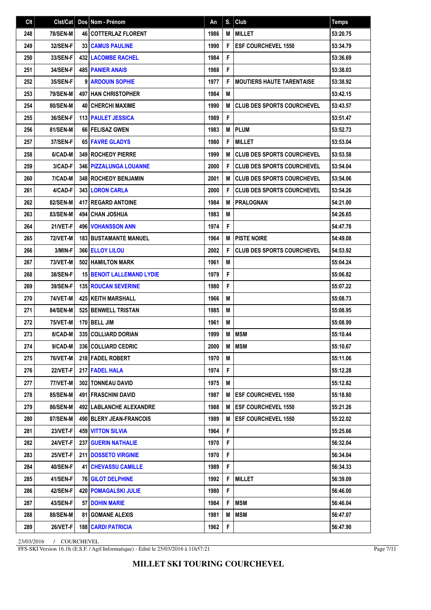| Clt |                 | Cist/Cat   Dos   Nom - Prénom    | An   | S. | Club                                | <b>Temps</b> |
|-----|-----------------|----------------------------------|------|----|-------------------------------------|--------------|
| 248 | <b>78/SEN-M</b> | <b>46 COTTERLAZ FLORENT</b>      | 1986 | M  | <b>MILLET</b>                       | 53:20.75     |
| 249 | 32/SEN-F        | <b>33 CAMUS PAULINE</b>          | 1990 | F  | <b>IESF COURCHEVEL 1550</b>         | 53:34.79     |
| 250 | 33/SEN-F        | <b>432 LACOMBE RACHEL</b>        | 1984 | F  |                                     | 53:36.69     |
| 251 | 34/SEN-F        | <b>485 PANIER ANAIS</b>          | 1988 | F  |                                     | 53:38.03     |
| 252 | <b>35/SEN-F</b> | 9 ARDOUIN SOPHIE                 | 1977 | F  | I MOUTIERS HAUTE TARENTAISE         | 53:38.92     |
| 253 | <b>79/SEN-M</b> | 497 HAN CHRISTOPHER              | 1984 | M  |                                     | 53:42.15     |
| 254 | <b>80/SEN-M</b> | <b>40 CHERCHI MAXIME</b>         | 1990 | M  | <b>I CLUB DES SPORTS COURCHEVEL</b> | 53:43.57     |
| 255 | <b>36/SEN-F</b> | 113 PAULET JESSICA               | 1989 | F  |                                     | 53:51.47     |
| 256 | 81/SEN-M        | 66 FELISAZ GWEN                  | 1983 | M  | PLUM                                | 53:52.73     |
| 257 | 37/SEN-F        | 65 FAVRE GLADYS                  | 1980 | F  | <b>MILLET</b>                       | 53:53.04     |
| 258 | 6/CAD-M         | <b>349 ROCHEDY PIERRE</b>        | 1999 | M  | <b>CLUB DES SPORTS COURCHEVEL</b>   | 53:53.58     |
| 259 | 3/CAD-F         | 346   PIZZALUNGA LOUANNE         | 2000 | F  | <b>CLUB DES SPORTS COURCHEVEL</b>   | 53:54.04     |
| 260 | 7/CAD-M         | <b>348 ROCHEDY BENJAMIN</b>      | 2001 | M  | <b>ICLUB DES SPORTS COURCHEVEL</b>  | 53:54.06     |
| 261 | 4/CAD-F         | <b>343 LORON CARLA</b>           | 2000 | F  | <b>CLUB DES SPORTS COURCHEVEL</b>   | 53:54.26     |
| 262 | 82/SEN-M        | <b>417   REGARD ANTOINE</b>      | 1984 | M  | <b>PRALOGNAN</b>                    | 54:21.00     |
| 263 | 83/SEN-M        | <b>494 CHAN JOSHUA</b>           | 1983 | M  |                                     | 54:26.65     |
| 264 | 21/VET-F        | <b>496   VOHANSSON ANN</b>       | 1974 | F  |                                     | 54:47.78     |
| 265 | <b>72/VET-M</b> | <b>183 BUSTAMANTE MANUEL</b>     | 1964 | M  | <b>PISTE NOIRE</b>                  | 54:49.08     |
| 266 | 3/MIN-F         | <b>366 ELLOY LILOU</b>           | 2002 | F  | <b>CLUB DES SPORTS COURCHEVEL</b>   | 54:53.92     |
| 267 | <b>73/VET-M</b> | 502 HAMILTON MARK                | 1961 | M  |                                     | 55:04.24     |
| 268 | <b>38/SEN-F</b> | <b>15 BENOIT LALLEMAND LYDIE</b> | 1979 | F  |                                     | 55:06.82     |
| 269 | 39/SEN-F        | <b>135 ROUCAN SEVERINE</b>       | 1980 | F  |                                     | 55:07.22     |
| 270 | 74/VET-M        | <b>425   KEITH MARSHALL</b>      | 1966 | M  |                                     | 55:08.73     |
| 271 | 84/SEN-M        | 525 BENWELL TRISTAN              | 1985 | M  |                                     | 55:08.95     |
| 272 | <b>75/VET-M</b> | 170 BELL JIM                     | 1961 | M  |                                     | 55:08.99     |
| 273 | 8/CAD-M         | 335 COLLIARD DORIAN              | 1999 | M  | <b>MSM</b>                          | 55:10.44     |
| 274 | $9/CAD-M$       | 336 COLLIARD CEDRIC              | 2000 |    | M   MSM                             | 55:10.67     |
| 275 | 76/VET-M        | 218 FADEL ROBERT                 | 1970 | M  |                                     | 55:11.06     |
| 276 | 22/VET-F        | 217 FADEL HALA                   | 1974 | F  |                                     | 55:12.28     |
| 277 | 77/VET-M        | 302 TONNEAU DAVID                | 1975 | M  |                                     | 55:12.82     |
| 278 | 85/SEN-M        | <b>491 FRASCHINI DAVID</b>       | 1987 |    | <b>M LESF COURCHEVEL 1550</b>       | 55:18.80     |
| 279 | <b>86/SEN-M</b> | 492   LABLANCHE ALEXANDRE        | 1988 |    | M <b>IESF COURCHEVEL 1550</b>       | 55:21.26     |
| 280 | 87/SEN-M        | 490 BLERY JEAN-FRANCOIS          | 1989 | M  | <b>ESF COURCHEVEL 1550</b>          | 55:22.02     |
| 281 | 23/VET-F        | <b>459 VITTON SILVIA</b>         | 1964 | F  |                                     | 55:25.66     |
| 282 | 24/VET-F        | <b>237 GUERIN NATHALIE</b>       | 1970 | F  |                                     | 56:32.04     |
| 283 | 25/VET-F        | <b>211   DOSSETO VIRGINIE</b>    | 1970 | F  |                                     | 56:34.04     |
| 284 | 40/SEN-F        | <b>41 CHEVASSU CAMILLE</b>       | 1989 | F  |                                     | 56:34.33     |
| 285 | 41/SEN-F        | <b>76 GILOT DELPHINE</b>         | 1992 | F  | <b>MILLET</b>                       | 56:39.09     |
| 286 | 42/SEN-F        | <b>420   POMAGALSKI JULIE</b>    | 1980 | F  |                                     | 56:46.00     |
| 287 | 43/SEN-F        | 57 DOHIN MARIE                   | 1984 | F  | <b>MSM</b>                          | 56:46.04     |
| 288 | <b>88/SEN-M</b> | <b>81   GOMANE ALEXIS</b>        | 1981 | M  | <b>MSM</b>                          | 56:47.07     |
| 289 | 26/VET-F        | <b>188   CARDI PATRICIA</b>      | 1962 | F  |                                     | 56:47.90     |

FFS-SKI Version 16.1h (E.S.F. / Agil Informatique) - Edité le 25/03/2016 à 11h57:21

Page 7/11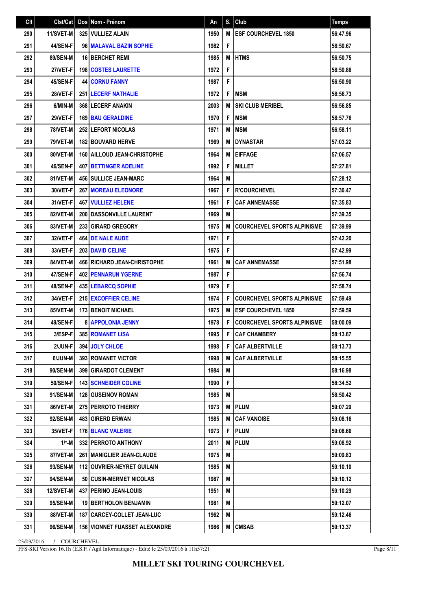| Clt | Clst/Cat        | Dos Nom - Prénom                     | An   | S. | Club                               | <b>Temps</b> |
|-----|-----------------|--------------------------------------|------|----|------------------------------------|--------------|
| 290 | 11/SVET-M       | 325 VULLIEZ ALAIN                    | 1950 | M  | <b>ESF COURCHEVEL 1850</b>         | 56:47.96     |
| 291 | 44/SEN-F        | 96 MALAVAL BAZIN SOPHIE              | 1982 | F  |                                    | 56:50.67     |
| 292 | 89/SEN-M        | 16 BERCHET REMI                      | 1985 | M  | <b>HTMS</b>                        | 56:50.75     |
| 293 | 27/VET-F        | <b>198 COSTES LAURETTE</b>           | 1972 | F  |                                    | 56:50.86     |
| 294 | 45/SEN-F        | <b>44 CORNU FANNY</b>                | 1987 | F  |                                    | 56:50.90     |
| 295 | 28/VET-F        | <b>251 LECERF NATHALIE</b>           | 1972 | F  | <b>MSM</b>                         | 56:56.73     |
| 296 | 6/MIN-M         | <b>368 LECERF ANAKIN</b>             | 2003 | M  | <b>SKI CLUB MERIBEL</b>            | 56:56.85     |
| 297 | <b>29/VET-F</b> | <b>169 BAU GERALDINE</b>             | 1970 | F  | <b>MSM</b>                         | 56:57.76     |
| 298 | <b>78/VET-M</b> | <b>252 LEFORT NICOLAS</b>            | 1971 | M  | <b>MSM</b>                         | 56:58.11     |
| 299 | <b>79/VET-M</b> | <b>182 BOUVARD HERVE</b>             | 1969 | M  | <b>DYNASTAR</b>                    | 57:03.22     |
| 300 | 80/VET-M        | <b>160   AILLOUD JEAN-CHRISTOPHE</b> | 1964 | M  | <b>EIFFAGE</b>                     | 57:06.57     |
| 301 | 46/SEN-F        | <b>407 BETTINGER ADELINE</b>         | 1992 | F  | <b>MILLET</b>                      | 57:27.81     |
| 302 | 81/VET-M        | <b>456 SULLICE JEAN-MARC</b>         | 1964 | M  |                                    | 57:28.12     |
| 303 | 30/VET-F        | <b>267 MOREAU ELEONORE</b>           | 1967 | F  | <b>R'COURCHEVEL</b>                | 57:30.47     |
| 304 | 31/VET-F        | <b>467   VULLIEZ HELENE</b>          | 1961 | F  | <b>CAF ANNEMASSE</b>               | 57:35.83     |
| 305 | 82/VET-M        | 200 DASSONVILLE LAURENT              | 1969 | M  |                                    | 57:39.35     |
| 306 | 83/VET-M        | 233 GIRARD GREGORY                   | 1975 | M  | <b>COURCHEVEL SPORTS ALPINISME</b> | 57:39.99     |
| 307 | 32/VET-F        | 464 DE NALE AUDE                     | 1971 | F  |                                    | 57:42.20     |
| 308 | 33/VET-F        | <b>203 DAVID CELINE</b>              | 1975 | F  |                                    | 57:42.99     |
| 309 | 84/VET-M        | <b>466   RICHARD JEAN-CHRISTOPHE</b> | 1961 | M  | <b>CAF ANNEMASSE</b>               | 57:51.98     |
| 310 | 47/SEN-F        | <b>402 PENNARUN YGERNE</b>           | 1987 | F  |                                    | 57:56.74     |
| 311 | 48/SEN-F        | <b>435 LEBARCQ SOPHIE</b>            | 1979 | F  |                                    | 57:58.74     |
| 312 | 34/VET-F        | <b>215 EXCOFFIER CELINE</b>          | 1974 | F  | <b>COURCHEVEL SPORTS ALPINISME</b> | 57:59.49     |
| 313 | 85/VET-M        | <b>173 BENOIT MICHAEL</b>            | 1975 | M  | <b>ESF COURCHEVEL 1850</b>         | 57:59.59     |
| 314 | 49/SEN-F        | <b>8 APPOLONIA JENNY</b>             | 1978 | F  | <b>COURCHEVEL SPORTS ALPINISME</b> | 58:00.09     |
| 315 | 3/ESP-F         | 385 ROMANET LISA                     | 1995 | F  | <b>CAF CHAMBERY</b>                | 58:13.67     |
| 316 | 2/JUN-F         | 394 JOLY CHLOE                       | 1998 | F  | <b>CAF ALBERTVILLE</b>             | 58:13.73     |
| 317 | 6/JUN-M         | <b>393 ROMANET VICTOR</b>            | 1998 | М  | CAF ALBERTVILLE                    | 58:15.55     |
| 318 | 90/SEN-M        | 399 GIRARDOT CLEMENT                 | 1984 | M  |                                    | 58:16.98     |
| 319 | 50/SEN-F        | <b>143   SCHNEIDER COLINE</b>        | 1990 | F  |                                    | 58:34.52     |
| 320 | 91/SEN-M        | <b>128 GUSEINOV ROMAN</b>            | 1985 | M  |                                    | 58:50.42     |
| 321 | 86/VET-M        | 275 PERROTO THIERRY                  | 1973 | Μ  | <b>PLUM</b>                        | 59:07.29     |
| 322 | 92/SEN-M        | <b>483   GIRERD ERWAN</b>            | 1985 | M  | CAF VANOISE                        | 59:08.16     |
| 323 | 35/VET-F        | <b>176 BLANC VALERIE</b>             | 1973 | F  | <b>PLUM</b>                        | 59:08.66     |
| 324 | 1/*-M           | 332 PERROTO ANTHONY                  | 2011 | M  | <b>PLUM</b>                        | 59:08.92     |
| 325 | 87/VET-M        | 261   MANIGLIER JEAN-CLAUDE          | 1975 | M  |                                    | 59:09.83     |
| 326 | 93/SEN-M        | 112 OUVRIER-NEYRET GUILAIN           | 1985 | M  |                                    | 59:10.10     |
| 327 | <b>94/SEN-M</b> | 50   CUSIN-MERMET NICOLAS            | 1987 | M  |                                    | 59:10.12     |
| 328 | 12/SVET-M       | 437   PERINO JEAN-LOUIS              | 1951 | M  |                                    | 59:10.29     |
| 329 | 95/SEN-M        | <b>19 BERTHOLON BENJAMIN</b>         | 1981 | M  |                                    | 59:12.07     |
| 330 | 88/VET-M        | 187   CARCEY-COLLET JEAN-LUC         | 1962 | Μ  |                                    | 59:12.46     |
| 331 | 96/SEN-M        | <b>156 VIONNET FUASSET ALEXANDRE</b> | 1986 | M  | <b>CMSAB</b>                       | 59:13.37     |

FFS-SKI Version 16.1h (E.S.F. / Agil Informatique) - Edité le 25/03/2016 à 11h57:21

Page 8/11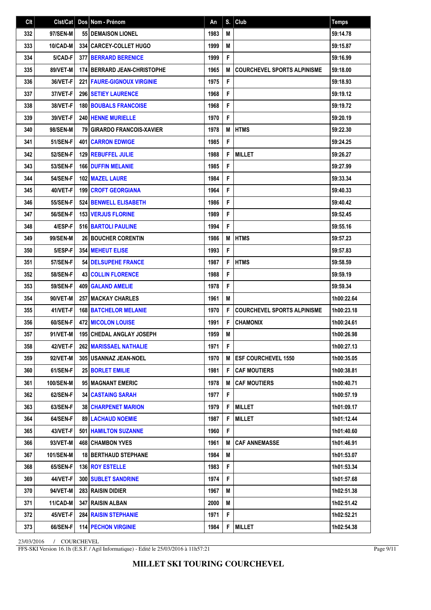| Cl <sub>t</sub> |                 | Cist/Cat   Dos   Nom - Prénom       | An   |   | $S.$ Club                          | <b>Temps</b> |
|-----------------|-----------------|-------------------------------------|------|---|------------------------------------|--------------|
| 332             | 97/SEN-M        | <b>55 I DEMAISON LIONEL</b>         | 1983 | M |                                    | 59:14.78     |
| 333             | 10/CAD-M        | 334 CARCEY-COLLET HUGO              | 1999 | M |                                    | 59:15.87     |
| 334             | 5/CAD-F         | 377 BERRARD BERENICE                | 1999 | F |                                    | 59:16.99     |
| 335             | 89/VET-M        | 174 BERRARD JEAN-CHRISTOPHE         | 1965 | M | <b>COURCHEVEL SPORTS ALPINISME</b> | 59:18.00     |
| 336             | 36/VET-F        | <b>221   FAURE-GIGNOUX VIRGINIE</b> | 1975 | F |                                    | 59:18.93     |
| 337             | 37/VET-F        | <b>296 SETIEY LAURENCE</b>          | 1968 | F |                                    | 59:19.12     |
| 338             | 38/VET-F        | <b>180 BOUBALS FRANCOISE</b>        | 1968 | F |                                    | 59:19.72     |
| 339             | 39/VET-F        | <b>240 HENNE MURIELLE</b>           | 1970 | F |                                    | 59:20.19     |
| 340             | 98/SEN-M        | <b>79 GIRARDO FRANCOIS-XAVIER</b>   | 1978 | M | <b>HTMS</b>                        | 59:22.30     |
| 341             | <b>51/SEN-F</b> | <b>401 CARRON EDWIGE</b>            | 1985 | F |                                    | 59:24.25     |
| 342             | 52/SEN-F        | <b>129 REBUFFEL JULIE</b>           | 1988 | F | <b>MILLET</b>                      | 59:26.27     |
| 343             | <b>53/SEN-F</b> | 166 DUFFIN MELANIE                  | 1985 | F |                                    | 59:27.99     |
| 344             | <b>54/SEN-F</b> | 102 MAZEL LAURE                     | 1984 | F |                                    | 59:33.34     |
| 345             | 40/VET-F        | <b>199 CROFT GEORGIANA</b>          | 1964 | F |                                    | 59:40.33     |
| 346             | <b>55/SEN-F</b> | <b>524 BENWELL ELISABETH</b>        | 1986 | F |                                    | 59:40.42     |
| 347             | <b>56/SEN-F</b> | <b>153 VERJUS FLORINE</b>           | 1989 | F |                                    | 59:52.45     |
| 348             | 4/ESP-F         | 516 BARTOLI PAULINE                 | 1994 | F |                                    | 59:55.16     |
| 349             | 99/SEN-M        | 26 BOUCHER CORENTIN                 | 1986 | M | <b>HTMS</b>                        | 59:57.23     |
| 350             | 5/ESP-F         | <b>354   MEHEUT ELISE</b>           | 1993 | F |                                    | 59:57.83     |
| 351             | <b>57/SEN-F</b> | 54 DELSUPEHE FRANCE                 | 1987 | F | <b>HTMS</b>                        | 59:58.59     |
| 352             | <b>58/SEN-F</b> | <b>43   COLLIN FLORENCE</b>         | 1988 | F |                                    | 59:59.19     |
| 353             | 59/SEN-F        | 409 GALAND AMELIE                   | 1978 | F |                                    | 59:59.34     |
| 354             | 90/VET-M        | <b>257 I MACKAY CHARLES</b>         | 1961 | M |                                    | 1h00:22.64   |
| 355             | 41/VET-F        | <b>168 BATCHELOR MELANIE</b>        | 1970 | F | <b>COURCHEVEL SPORTS ALPINISME</b> | 1h00:23.18   |
| 356             | 60/SEN-F        | <b>472 MICOLON LOUISE</b>           | 1991 | F | <b>CHAMONIX</b>                    | 1h00:24.61   |
| 357             | 91/VET-M        | <b>195 CHEDAL ANGLAY JOSEPH</b>     | 1959 | M |                                    | 1h00:26.98   |
| 358             | 42/VET-F        | <b>262 MARISSAEL NATHALIE</b>       | 1971 | F |                                    | 1h00:27.13   |
| 359             | 92/VET-M        | 305 USANNAZ JEAN-NOEL               | 1970 | M | <b>ESF COURCHEVEL 1550</b>         | 1h00:35.05   |
| 360             | 61/SEN-F        | <b>25 BORLET EMILIE</b>             | 1981 | F | <b>CAF MOUTIERS</b>                | 1h00:38.81   |
| 361             | 100/SEN-M       | 95 MAGNANT EMERIC                   | 1978 | M | <b>CAF MOUTIERS</b>                | 1h00:40.71   |
| 362             | 62/SEN-F        | <b>34 CASTAING SARAH</b>            | 1977 | F |                                    | 1h00:57.19   |
| 363             | 63/SEN-F        | <b>38 CHARPENET MARION</b>          | 1979 | F | <b>MILLET</b>                      | 1h01:09.17   |
| 364             | 64/SEN-F        | <b>89   LACHAUD NOEMIE</b>          | 1987 | F | <b>MILLET</b>                      | 1h01:12.44   |
| 365             | 43/VET-F        | <b>501   HAMILTON SUZANNE</b>       | 1960 | F |                                    | 1h01:40.60   |
| 366             | 93/VET-M        | <b>468 CHAMBON YVES</b>             | 1961 | M | <b>CAF ANNEMASSE</b>               | 1h01:46.91   |
| 367             | 101/SEN-M       | <b>18 BERTHAUD STEPHANE</b>         | 1984 | Μ |                                    | 1h01:53.07   |
| 368             | 65/SEN-F        | 136 ROY ESTELLE                     | 1983 | F |                                    | 1h01:53.34   |
| 369             | 44/VET-F        | <b>300   SUBLET SANDRINE</b>        | 1974 | F |                                    | 1h01:57.68   |
| 370             | 94/VET-M        | 283 RAISIN DIDIER                   | 1967 | M |                                    | 1h02:51.38   |
| 371             | 11/CAD-M        | <b>347 RAISIN ALBAN</b>             | 2000 | M |                                    | 1h02:51.42   |
| 372             | 45/VET-F        | <b>284 RAISIN STEPHANIE</b>         | 1971 | F |                                    | 1h02:52.21   |
| 373             | 66/SEN-F        | 114 PECHON VIRGINIE                 | 1984 | F | <b>MILLET</b>                      | 1h02:54.38   |

FFS-SKI Version 16.1h (E.S.F. / Agil Informatique) - Edité le 25/03/2016 à 11h57:21

Page 9/11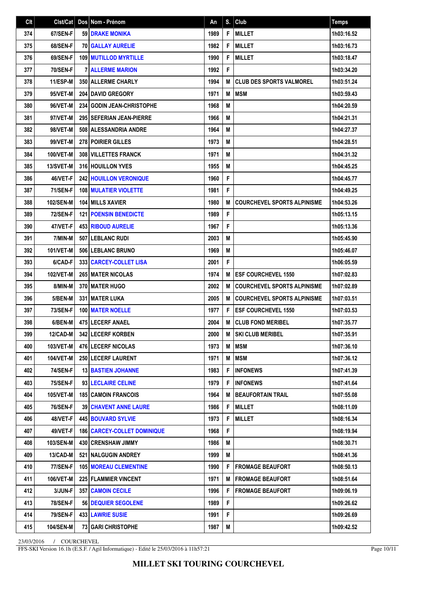| Clt |                  | Cist/Cat   Dos   Nom - Prénom        | An   | S. | Club                               | <b>Temps</b> |
|-----|------------------|--------------------------------------|------|----|------------------------------------|--------------|
| 374 | 67/SEN-F         | <b>59 DRAKE MONIKA</b>               | 1989 | F  | <b>MILLET</b>                      | 1h03:16.52   |
| 375 | 68/SEN-F         | <b>70 GALLAY AURELIE</b>             | 1982 | F  | <b>MILLET</b>                      | 1h03:16.73   |
| 376 | 69/SEN-F         | <b>109 MUTILLOD MYRTILLE</b>         | 1990 | F  | <b>MILLET</b>                      | 1h03:18.47   |
| 377 | <b>70/SEN-F</b>  | <b>7 ALLERME MARION</b>              | 1992 | F  |                                    | 1h03:34.20   |
| 378 | 11/ESP-M         | 350 ALLERME CHARLY                   | 1994 | M  | <b>CLUB DES SPORTS VALMOREL</b>    | 1h03:51.24   |
| 379 | 95/VET-M         | <b>204 DAVID GREGORY</b>             | 1971 | M  | <b>MSM</b>                         | 1h03:59.43   |
| 380 | 96/VET-M         | 234 GODIN JEAN-CHRISTOPHE            | 1968 | M  |                                    | 1h04:20.59   |
| 381 | 97/VET-M         | 295   SEFERIAN JEAN-PIERRE           | 1966 | M  |                                    | 1h04:21.31   |
| 382 | 98/VET-M         | 508 ALESSANDRIA ANDRE                | 1964 | M  |                                    | 1h04:27.37   |
| 383 | 99/VET-M         | <b>278 POIRIER GILLES</b>            | 1973 | M  |                                    | 1h04:28.51   |
| 384 | 100/VET-M        | <b>308 VILLETTES FRANCK</b>          | 1971 | M  |                                    | 1h04:31.32   |
| 385 | 13/SVET-M        | 316 HOUILLON YVES                    | 1955 | M  |                                    | 1h04:45.25   |
| 386 | 46/VET-F         | <b>242 HOUILLON VERONIQUE</b>        | 1960 | F  |                                    | 1h04:45.77   |
| 387 | 71/SEN-F         | <b>108 MULATIER VIOLETTE</b>         | 1981 | F  |                                    | 1h04:49.25   |
| 388 | 102/SEN-M        | <b>104 MILLS XAVIER</b>              | 1980 | M  | <b>COURCHEVEL SPORTS ALPINISME</b> | 1h04:53.26   |
| 389 | <b>72/SEN-F</b>  | <b>121   POENSIN BENEDICTE</b>       | 1989 | F  |                                    | 1h05:13.15   |
| 390 | 47/VET-F         | <b>453 RIBOUD AURELIE</b>            | 1967 | F  |                                    | 1h05:13.36   |
| 391 | 7/MIN-M          | 507 LEBLANC RUDI                     | 2003 | M  |                                    | 1h05:45.90   |
| 392 | 101/VET-M        | 506 LEBLANC BRUNO                    | 1969 | M  |                                    | 1h05:46.07   |
| 393 | 6/CAD-F          | <b>3331 CARCEY-COLLET LISA</b>       | 2001 | F  |                                    | 1h06:05.59   |
| 394 | 102/VET-M        | <b>265 MATER NICOLAS</b>             | 1974 | M  | <b>ESF COURCHEVEL 1550</b>         | 1h07:02.83   |
| 395 | 8/MIN-M          | 370 MATER HUGO                       | 2002 | M  | <b>COURCHEVEL SPORTS ALPINISME</b> | 1h07:02.89   |
| 396 | 5/BEN-M          | <b>331 MATER LUKA</b>                | 2005 | M  | <b>COURCHEVEL SPORTS ALPINISME</b> | 1h07:03.51   |
| 397 | <b>73/SEN-F</b>  | <b>100 MATER NOELLE</b>              | 1977 | F  | <b>ESF COURCHEVEL 1550</b>         | 1h07:03.53   |
| 398 | 6/BEN-M          | 475 LECERF ANAEL                     | 2004 | M  | <b>CLUB FOND MERIBEL</b>           | 1h07:35.77   |
| 399 | 12/CAD-M         | <b>342 LECERF KORBEN</b>             | 2000 | M  | <b>SKI CLUB MERIBEL</b>            | 1h07:35.91   |
| 400 | 103/VET-M        | 476 LECERF NICOLAS                   | 1973 | Μ  | <b>MSM</b>                         | 1h07:36.10   |
| 401 | 104/VET-M        | <b>250 LECERF LAURENT</b>            | 1971 | M  | <b>MSM</b>                         | 1h07:36.12   |
| 402 | <b>74/SEN-F</b>  | <b>13 BASTIEN JOHANNE</b>            | 1983 | F  | <b>INFONEWS</b>                    | 1h07:41.39   |
| 403 | 75/SEN-F         | 93 LECLAIRE CELINE                   | 1979 | F  | <b>INFONEWS</b>                    | 1h07:41.64   |
| 404 | 105/VET-M        | <b>185 CAMOIN FRANCOIS</b>           | 1964 | M  | <b>BEAUFORTAIN TRAIL</b>           | 1h07:55.08   |
| 405 | <b>76/SEN-F</b>  | <b>39 CHAVENT ANNE LAURE</b>         | 1986 | F  | <b>MILLET</b>                      | 1h08:11.09   |
| 406 | 48/VET-F         | <b>445 BOUVARD SYLVIE</b>            | 1973 | F  | <b>MILLET</b>                      | 1h08:16.34   |
| 407 | 49/VET-F         | <b>186   CARCEY-COLLET DOMINIQUE</b> | 1968 | F  |                                    | 1h08:19.94   |
| 408 | 103/SEN-M        | 430 CRENSHAW JIMMY                   | 1986 | M  |                                    | 1h08:30.71   |
| 409 | 13/CAD-M         | <b>521 INALGUGIN ANDREY</b>          | 1999 | M  |                                    | 1h08:41.36   |
| 410 | 77/SEN-F         | <b>105   MOREAU CLEMENTINE</b>       | 1990 | F  | <b>FROMAGE BEAUFORT</b>            | 1h08:50.13   |
| 411 | 106/VET-M        | <b>225 FLAMMIER VINCENT</b>          | 1971 | M  | <b>FROMAGE BEAUFORT</b>            | 1h08:51.64   |
| 412 | 3/JUN-F          | <b>357 CAMOIN CECILE</b>             | 1996 | F  | <b>FROMAGE BEAUFORT</b>            | 1h09:06.19   |
| 413 | <b>78/SEN-F</b>  | <b>56 DEQUIER SEGOLENE</b>           | 1989 | F  |                                    | 1h09:26.62   |
| 414 | 79/SEN-F         | <b>433 LAWRIE SUSIE</b>              | 1991 | F  |                                    | 1h09:26.69   |
| 415 | <b>104/SEN-M</b> | <b>73 GARI CHRISTOPHE</b>            | 1987 | M  |                                    | 1h09:42.52   |

FFS-SKI Version 16.1h (E.S.F. / Agil Informatique) - Edité le 25/03/2016 à 11h57:21

Page 10/11